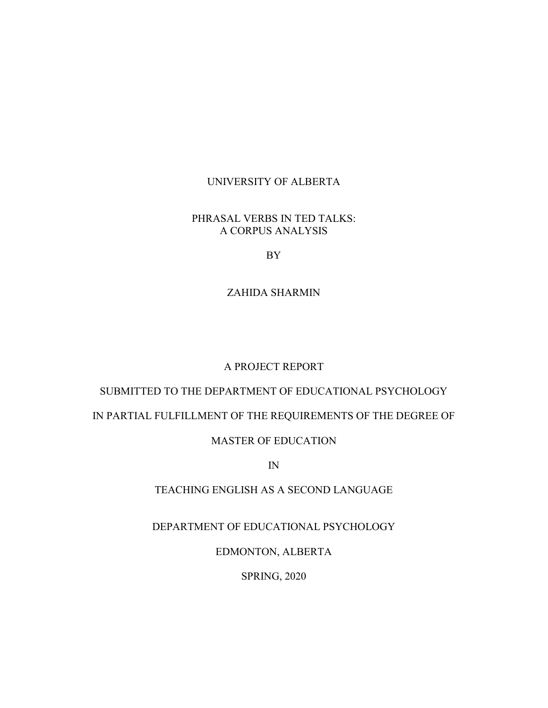### UNIVERSITY OF ALBERTA

### PHRASAL VERBS IN TED TALKS: A CORPUS ANALYSIS

BY

### ZAHIDA SHARMIN

### A PROJECT REPORT

# SUBMITTED TO THE DEPARTMENT OF EDUCATIONAL PSYCHOLOGY

## IN PARTIAL FULFILLMENT OF THE REQUIREMENTS OF THE DEGREE OF

### MASTER OF EDUCATION

IN

### TEACHING ENGLISH AS A SECOND LANGUAGE

## DEPARTMENT OF EDUCATIONAL PSYCHOLOGY

EDMONTON, ALBERTA

SPRING, 2020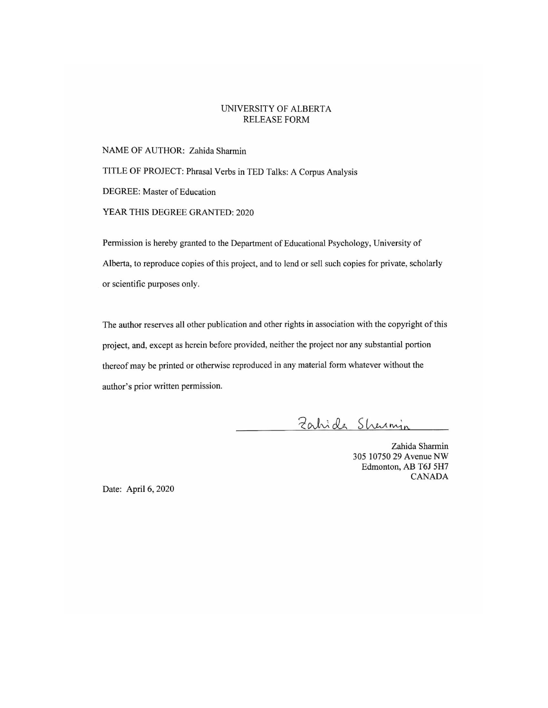#### UNIVERSITY OF ALBERTA **RELEASE FORM**

NAME OF AUTHOR: Zahida Sharmin TITLE OF PROJECT: Phrasal Verbs in TED Talks: A Corpus Analysis DEGREE: Master of Education YEAR THIS DEGREE GRANTED: 2020

Permission is hereby granted to the Department of Educational Psychology, University of Alberta, to reproduce copies of this project, and to lend or sell such copies for private, scholarly or scientific purposes only.

The author reserves all other publication and other rights in association with the copyright of this project, and, except as herein before provided, neither the project nor any substantial portion thereof may be printed or otherwise reproduced in any material form whatever without the author's prior written permission.

Zahide Shermin

Zahida Sharmin 305 10750 29 Avenue NW Edmonton, AB T6J 5H7 **CANADA** 

Date: April 6, 2020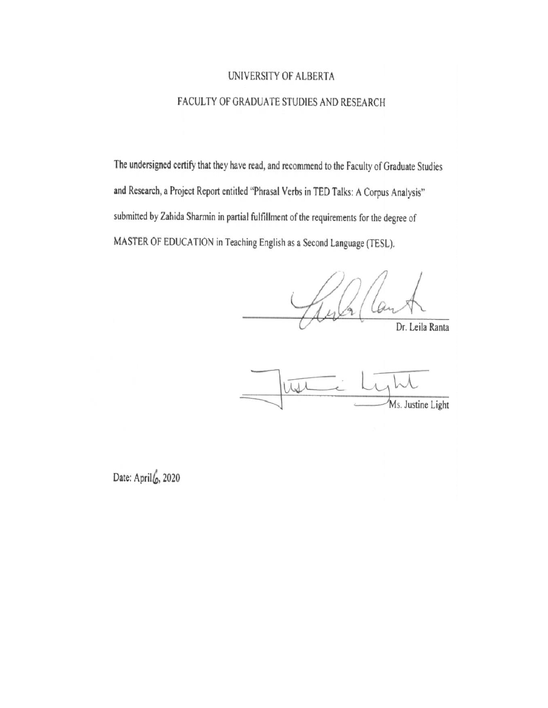## UNIVERSITY OF ALBERTA

## FACULTY OF GRADUATE STUDIES AND RESEARCH

The undersigned certify that they have read, and recommend to the Faculty of Graduate Studies and Research, a Project Report entitled "Phrasal Verbs in TED Talks: A Corpus Analysis" submitted by Zahida Sharmin in partial fulfillment of the requirements for the degree of MASTER OF EDUCATION in Teaching English as a Second Language (TESL).

Dr. Leila Ranta

Wil Ms. Justine Light

Date: April 6, 2020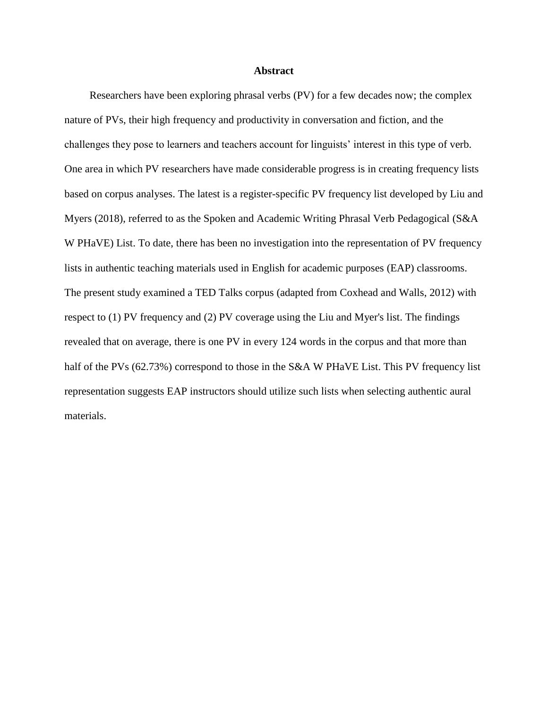#### **Abstract**

Researchers have been exploring phrasal verbs (PV) for a few decades now; the complex nature of PVs, their high frequency and productivity in conversation and fiction, and the challenges they pose to learners and teachers account for linguists' interest in this type of verb. One area in which PV researchers have made considerable progress is in creating frequency lists based on corpus analyses. The latest is a register-specific PV frequency list developed by Liu and Myers (2018), referred to as the Spoken and Academic Writing Phrasal Verb Pedagogical (S&A W PHaVE) List. To date, there has been no investigation into the representation of PV frequency lists in authentic teaching materials used in English for academic purposes (EAP) classrooms. The present study examined a TED Talks corpus (adapted from Coxhead and Walls, 2012) with respect to (1) PV frequency and (2) PV coverage using the Liu and Myer's list. The findings revealed that on average, there is one PV in every 124 words in the corpus and that more than half of the PVs (62.73%) correspond to those in the S&A W PHaVE List. This PV frequency list representation suggests EAP instructors should utilize such lists when selecting authentic aural materials.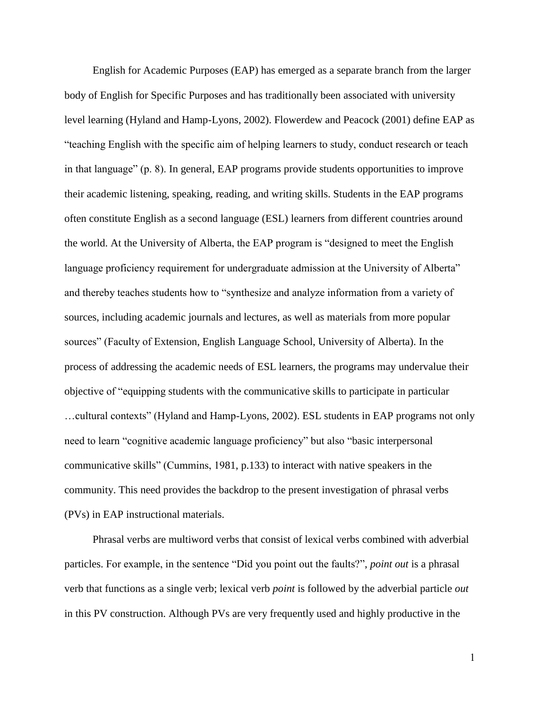English for Academic Purposes (EAP) has emerged as a separate branch from the larger body of English for Specific Purposes and has traditionally been associated with university level learning (Hyland and Hamp-Lyons, 2002). Flowerdew and Peacock (2001) define EAP as "teaching English with the specific aim of helping learners to study, conduct research or teach in that language" (p. 8). In general, EAP programs provide students opportunities to improve their academic listening, speaking, reading, and writing skills. Students in the EAP programs often constitute English as a second language (ESL) learners from different countries around the world. At the University of Alberta, the EAP program is "designed to meet the English language proficiency requirement for undergraduate admission at the University of Alberta" and thereby teaches students how to "synthesize and analyze information from a variety of sources, including academic journals and lectures, as well as materials from more popular sources" (Faculty of Extension, English Language School, University of Alberta). In the process of addressing the academic needs of ESL learners, the programs may undervalue their objective of "equipping students with the communicative skills to participate in particular …cultural contexts" (Hyland and Hamp-Lyons, 2002). ESL students in EAP programs not only need to learn "cognitive academic language proficiency" but also "basic interpersonal communicative skills" (Cummins, 1981, p.133) to interact with native speakers in the community. This need provides the backdrop to the present investigation of phrasal verbs (PVs) in EAP instructional materials.

Phrasal verbs are multiword verbs that consist of lexical verbs combined with adverbial particles. For example, in the sentence "Did you point out the faults?", *point out* is a phrasal verb that functions as a single verb; lexical verb *point* is followed by the adverbial particle *out* in this PV construction. Although PVs are very frequently used and highly productive in the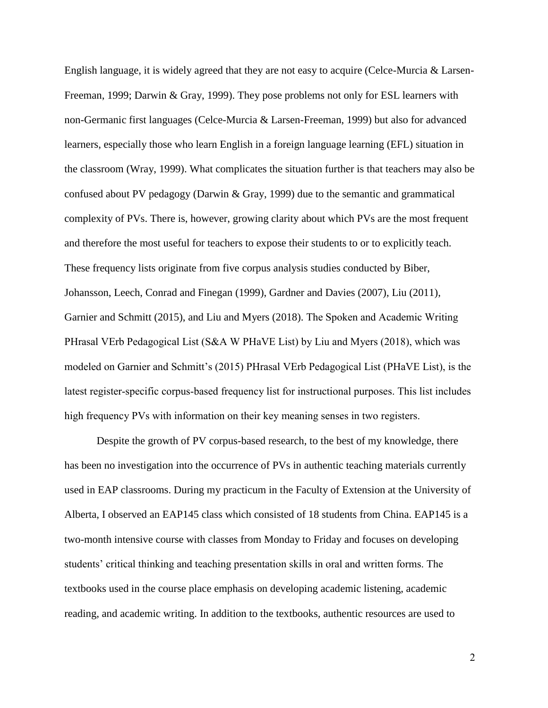English language, it is widely agreed that they are not easy to acquire (Celce-Murcia & Larsen-Freeman, 1999; Darwin & Gray, 1999). They pose problems not only for ESL learners with non-Germanic first languages (Celce-Murcia & Larsen-Freeman, 1999) but also for advanced learners, especially those who learn English in a foreign language learning (EFL) situation in the classroom (Wray, 1999). What complicates the situation further is that teachers may also be confused about PV pedagogy (Darwin & Gray, 1999) due to the semantic and grammatical complexity of PVs. There is, however, growing clarity about which PVs are the most frequent and therefore the most useful for teachers to expose their students to or to explicitly teach. These frequency lists originate from five corpus analysis studies conducted by Biber, Johansson, Leech, Conrad and Finegan (1999), Gardner and Davies (2007), Liu (2011), Garnier and Schmitt (2015), and Liu and Myers (2018). The Spoken and Academic Writing PHrasal VErb Pedagogical List (S&A W PHaVE List) by Liu and Myers (2018), which was modeled on Garnier and Schmitt's (2015) PHrasal VErb Pedagogical List (PHaVE List), is the latest register-specific corpus-based frequency list for instructional purposes. This list includes high frequency PVs with information on their key meaning senses in two registers.

Despite the growth of PV corpus-based research, to the best of my knowledge, there has been no investigation into the occurrence of PVs in authentic teaching materials currently used in EAP classrooms. During my practicum in the Faculty of Extension at the University of Alberta, I observed an EAP145 class which consisted of 18 students from China. EAP145 is a two-month intensive course with classes from Monday to Friday and focuses on developing students" critical thinking and teaching presentation skills in oral and written forms. The textbooks used in the course place emphasis on developing academic listening, academic reading, and academic writing. In addition to the textbooks, authentic resources are used to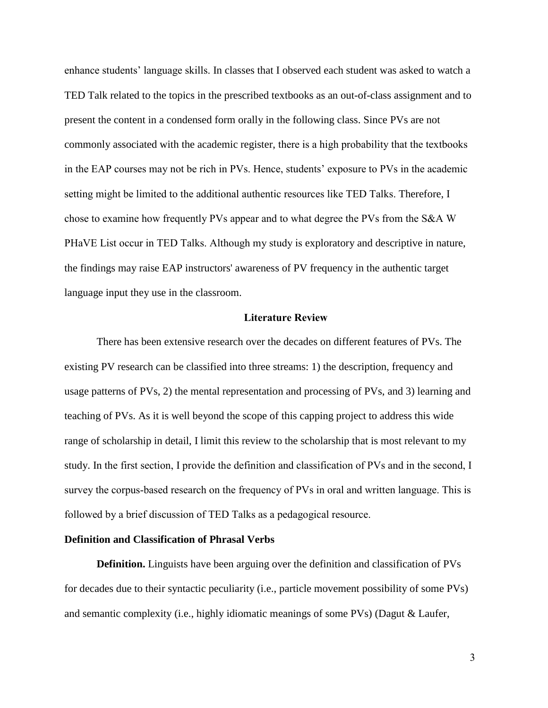enhance students" language skills. In classes that I observed each student was asked to watch a TED Talk related to the topics in the prescribed textbooks as an out-of-class assignment and to present the content in a condensed form orally in the following class. Since PVs are not commonly associated with the academic register, there is a high probability that the textbooks in the EAP courses may not be rich in PVs. Hence, students' exposure to PVs in the academic setting might be limited to the additional authentic resources like TED Talks. Therefore, I chose to examine how frequently PVs appear and to what degree the PVs from the S&A W PHaVE List occur in TED Talks. Although my study is exploratory and descriptive in nature, the findings may raise EAP instructors' awareness of PV frequency in the authentic target language input they use in the classroom.

#### **Literature Review**

There has been extensive research over the decades on different features of PVs. The existing PV research can be classified into three streams: 1) the description, frequency and usage patterns of PVs, 2) the mental representation and processing of PVs, and 3) learning and teaching of PVs. As it is well beyond the scope of this capping project to address this wide range of scholarship in detail, I limit this review to the scholarship that is most relevant to my study. In the first section, I provide the definition and classification of PVs and in the second, I survey the corpus-based research on the frequency of PVs in oral and written language. This is followed by a brief discussion of TED Talks as a pedagogical resource.

#### **Definition and Classification of Phrasal Verbs**

**Definition.** Linguists have been arguing over the definition and classification of PVs for decades due to their syntactic peculiarity (i.e., particle movement possibility of some PVs) and semantic complexity (i.e., highly idiomatic meanings of some PVs) (Dagut & Laufer,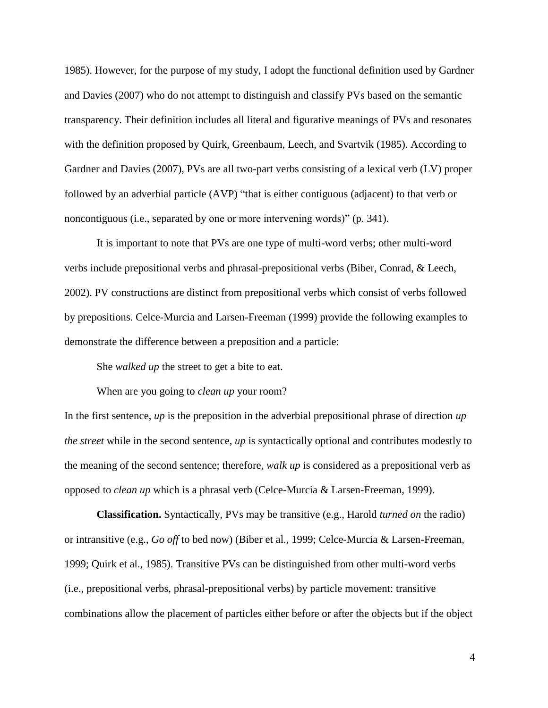1985). However, for the purpose of my study, I adopt the functional definition used by Gardner and Davies (2007) who do not attempt to distinguish and classify PVs based on the semantic transparency. Their definition includes all literal and figurative meanings of PVs and resonates with the definition proposed by Quirk, Greenbaum, Leech, and Svartvik (1985). According to Gardner and Davies (2007), PVs are all two-part verbs consisting of a lexical verb (LV) proper followed by an adverbial particle (AVP) "that is either contiguous (adjacent) to that verb or noncontiguous (i.e., separated by one or more intervening words)" (p. 341).

It is important to note that PVs are one type of multi-word verbs; other multi-word verbs include prepositional verbs and phrasal-prepositional verbs (Biber, Conrad, & Leech, 2002). PV constructions are distinct from prepositional verbs which consist of verbs followed by prepositions. Celce-Murcia and Larsen-Freeman (1999) provide the following examples to demonstrate the difference between a preposition and a particle:

She *walked up* the street to get a bite to eat.

When are you going to *clean up* your room?

In the first sentence, *up* is the preposition in the adverbial prepositional phrase of direction *up the street* while in the second sentence, *up* is syntactically optional and contributes modestly to the meaning of the second sentence; therefore, *walk up* is considered as a prepositional verb as opposed to *clean up* which is a phrasal verb (Celce-Murcia & Larsen-Freeman, 1999).

**Classification.** Syntactically, PVs may be transitive (e.g., Harold *turned on* the radio) or intransitive (e.g., *Go off* to bed now) (Biber et al., 1999; Celce-Murcia & Larsen-Freeman, 1999; Quirk et al., 1985). Transitive PVs can be distinguished from other multi-word verbs (i.e., prepositional verbs, phrasal-prepositional verbs) by particle movement: transitive combinations allow the placement of particles either before or after the objects but if the object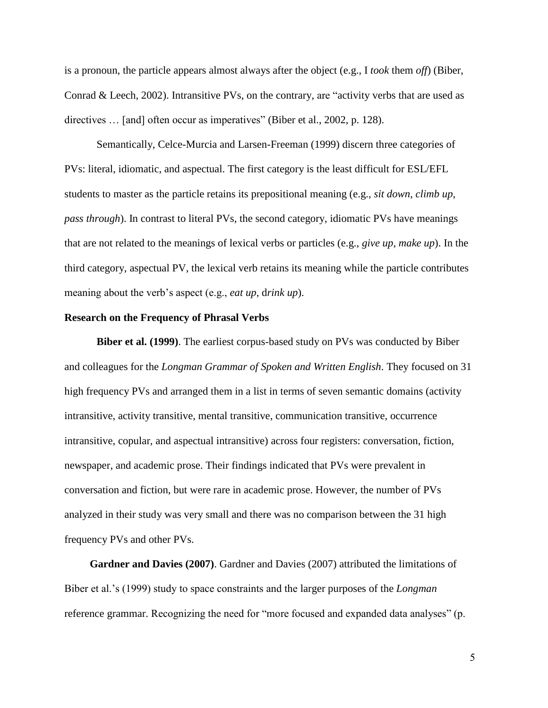is a pronoun, the particle appears almost always after the object (e.g., I *took* them *off*) (Biber, Conrad & Leech, 2002). Intransitive PVs, on the contrary, are "activity verbs that are used as directives ... [and] often occur as imperatives" (Biber et al., 2002, p. 128).

Semantically, Celce-Murcia and Larsen-Freeman (1999) discern three categories of PVs: literal, idiomatic, and aspectual. The first category is the least difficult for ESL/EFL students to master as the particle retains its prepositional meaning (e.g., *sit down*, *climb up*, *pass through*). In contrast to literal PVs, the second category, idiomatic PVs have meanings that are not related to the meanings of lexical verbs or particles (e.g., *give up*, *make up*). In the third category, aspectual PV, the lexical verb retains its meaning while the particle contributes meaning about the verb's aspect (e.g., *eat up*, drink *up*).

#### **Research on the Frequency of Phrasal Verbs**

**Biber et al. (1999)**. The earliest corpus-based study on PVs was conducted by Biber and colleagues for the *Longman Grammar of Spoken and Written English*. They focused on 31 high frequency PVs and arranged them in a list in terms of seven semantic domains (activity intransitive, activity transitive, mental transitive, communication transitive, occurrence intransitive, copular, and aspectual intransitive) across four registers: conversation, fiction, newspaper, and academic prose. Their findings indicated that PVs were prevalent in conversation and fiction, but were rare in academic prose. However, the number of PVs analyzed in their study was very small and there was no comparison between the 31 high frequency PVs and other PVs.

**Gardner and Davies (2007)**. Gardner and Davies (2007) attributed the limitations of Biber et al."s (1999) study to space constraints and the larger purposes of the *Longman* reference grammar. Recognizing the need for "more focused and expanded data analyses" (p.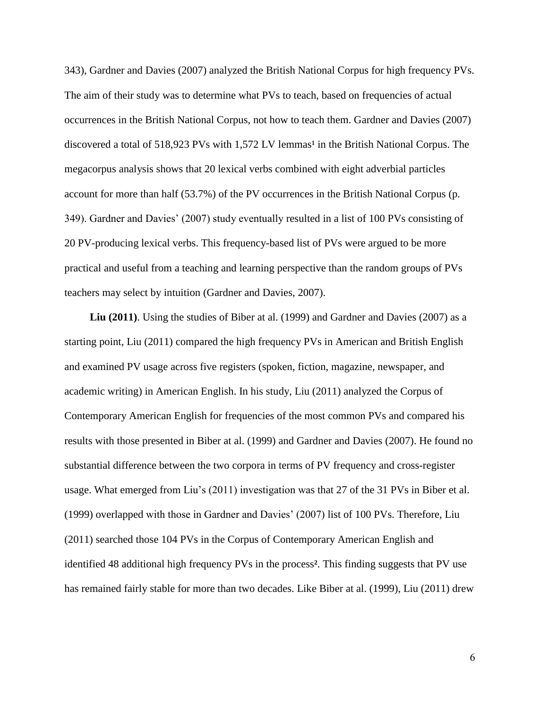343), Gardner and Davies (2007) analyzed the British National Corpus for high frequency PVs. The aim of their study was to determine what PVs to teach, based on frequencies of actual occurrences in the British National Corpus, not how to teach them. Gardner and Davies (2007) discovered a total of 518,923 PVs with 1,572 LV lemmas<sup>1</sup> in the British National Corpus. The megacorpus analysis shows that 20 lexical verbs combined with eight adverbial particles account for more than half (53.7%) of the PV occurrences in the British National Corpus (p. 349). Gardner and Davies" (2007) study eventually resulted in a list of 100 PVs consisting of 20 PV-producing lexical verbs. This frequency-based list of PVs were argued to be more practical and useful from a teaching and learning perspective than the random groups of PVs teachers may select by intuition (Gardner and Davies, 2007).

**Liu (2011)**. Using the studies of Biber at al. (1999) and Gardner and Davies (2007) as a starting point, Liu (2011) compared the high frequency PVs in American and British English and examined PV usage across five registers (spoken, fiction, magazine, newspaper, and academic writing) in American English. In his study, Liu (2011) analyzed the Corpus of Contemporary American English for frequencies of the most common PVs and compared his results with those presented in Biber at al. (1999) and Gardner and Davies (2007). He found no substantial difference between the two corpora in terms of PV frequency and cross-register usage. What emerged from Liu"s (2011) investigation was that 27 of the 31 PVs in Biber et al. (1999) overlapped with those in Gardner and Davies" (2007) list of 100 PVs. Therefore, Liu (2011) searched those 104 PVs in the Corpus of Contemporary American English and identified 48 additional high frequency PVs in the process**²**. This finding suggests that PV use has remained fairly stable for more than two decades. Like Biber at al. (1999), Liu (2011) drew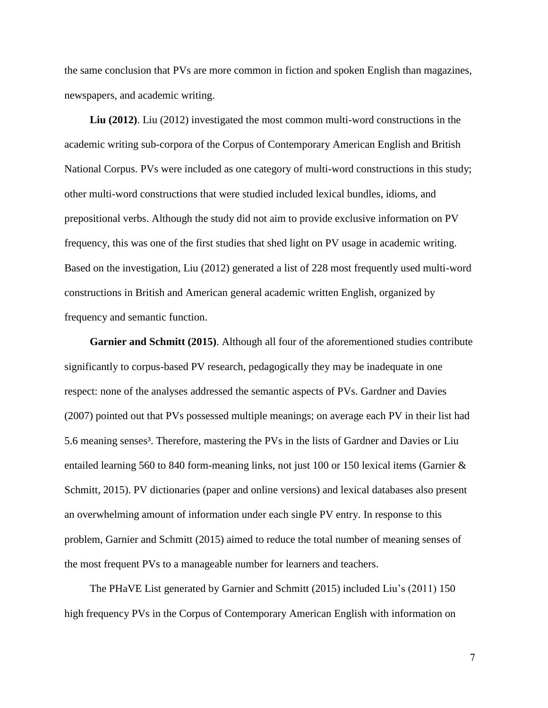the same conclusion that PVs are more common in fiction and spoken English than magazines, newspapers, and academic writing.

**Liu (2012)**. Liu (2012) investigated the most common multi-word constructions in the academic writing sub-corpora of the Corpus of Contemporary American English and British National Corpus. PVs were included as one category of multi-word constructions in this study; other multi-word constructions that were studied included lexical bundles, idioms, and prepositional verbs. Although the study did not aim to provide exclusive information on PV frequency, this was one of the first studies that shed light on PV usage in academic writing. Based on the investigation, Liu (2012) generated a list of 228 most frequently used multi-word constructions in British and American general academic written English, organized by frequency and semantic function.

**Garnier and Schmitt (2015)**. Although all four of the aforementioned studies contribute significantly to corpus-based PV research, pedagogically they may be inadequate in one respect: none of the analyses addressed the semantic aspects of PVs. Gardner and Davies (2007) pointed out that PVs possessed multiple meanings; on average each PV in their list had 5.6 meaning senses<sup>3</sup>. Therefore, mastering the PVs in the lists of Gardner and Davies or Liu entailed learning 560 to 840 form-meaning links, not just 100 or 150 lexical items (Garnier  $\&$ Schmitt, 2015). PV dictionaries (paper and online versions) and lexical databases also present an overwhelming amount of information under each single PV entry. In response to this problem, Garnier and Schmitt (2015) aimed to reduce the total number of meaning senses of the most frequent PVs to a manageable number for learners and teachers.

The PHaVE List generated by Garnier and Schmitt (2015) included Liu"s (2011) 150 high frequency PVs in the Corpus of Contemporary American English with information on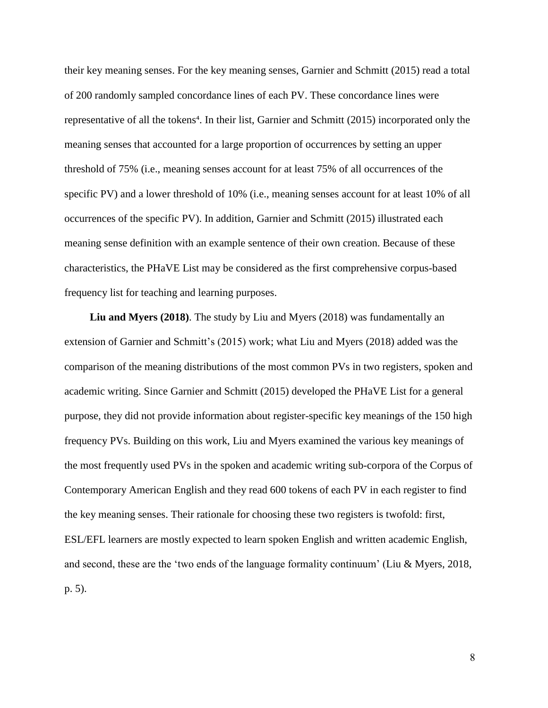their key meaning senses. For the key meaning senses, Garnier and Schmitt (2015) read a total of 200 randomly sampled concordance lines of each PV. These concordance lines were representative of all the tokens<sup>4</sup>. In their list, Garnier and Schmitt (2015) incorporated only the meaning senses that accounted for a large proportion of occurrences by setting an upper threshold of 75% (i.e., meaning senses account for at least 75% of all occurrences of the specific PV) and a lower threshold of 10% (i.e., meaning senses account for at least 10% of all occurrences of the specific PV). In addition, Garnier and Schmitt (2015) illustrated each meaning sense definition with an example sentence of their own creation. Because of these characteristics, the PHaVE List may be considered as the first comprehensive corpus-based frequency list for teaching and learning purposes.

**Liu and Myers (2018)**. The study by Liu and Myers (2018) was fundamentally an extension of Garnier and Schmitt's (2015) work; what Liu and Myers (2018) added was the comparison of the meaning distributions of the most common PVs in two registers, spoken and academic writing. Since Garnier and Schmitt (2015) developed the PHaVE List for a general purpose, they did not provide information about register-specific key meanings of the 150 high frequency PVs. Building on this work, Liu and Myers examined the various key meanings of the most frequently used PVs in the spoken and academic writing sub-corpora of the Corpus of Contemporary American English and they read 600 tokens of each PV in each register to find the key meaning senses. Their rationale for choosing these two registers is twofold: first, ESL/EFL learners are mostly expected to learn spoken English and written academic English, and second, these are the 'two ends of the language formality continuum' (Liu & Myers, 2018, p. 5).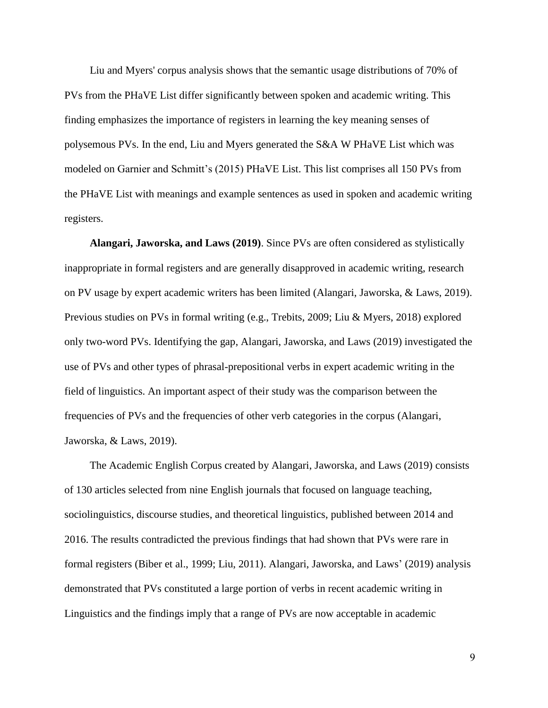Liu and Myers' corpus analysis shows that the semantic usage distributions of 70% of PVs from the PHaVE List differ significantly between spoken and academic writing. This finding emphasizes the importance of registers in learning the key meaning senses of polysemous PVs. In the end, Liu and Myers generated the S&A W PHaVE List which was modeled on Garnier and Schmitt"s (2015) PHaVE List. This list comprises all 150 PVs from the PHaVE List with meanings and example sentences as used in spoken and academic writing registers.

**Alangari, Jaworska, and Laws (2019)**. Since PVs are often considered as stylistically inappropriate in formal registers and are generally disapproved in academic writing, research on PV usage by expert academic writers has been limited (Alangari, Jaworska, & Laws, 2019). Previous studies on PVs in formal writing (e.g., Trebits, 2009; Liu & Myers, 2018) explored only two-word PVs. Identifying the gap, Alangari, Jaworska, and Laws (2019) investigated the use of PVs and other types of phrasal-prepositional verbs in expert academic writing in the field of linguistics. An important aspect of their study was the comparison between the frequencies of PVs and the frequencies of other verb categories in the corpus (Alangari, Jaworska, & Laws, 2019).

The Academic English Corpus created by Alangari, Jaworska, and Laws (2019) consists of 130 articles selected from nine English journals that focused on language teaching, sociolinguistics, discourse studies, and theoretical linguistics, published between 2014 and 2016. The results contradicted the previous findings that had shown that PVs were rare in formal registers (Biber et al., 1999; Liu, 2011). Alangari, Jaworska, and Laws" (2019) analysis demonstrated that PVs constituted a large portion of verbs in recent academic writing in Linguistics and the findings imply that a range of PVs are now acceptable in academic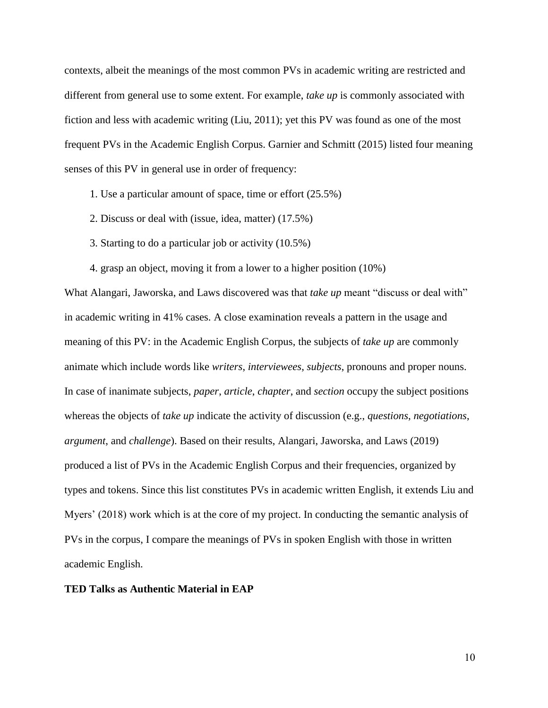contexts, albeit the meanings of the most common PVs in academic writing are restricted and different from general use to some extent. For example, *take up* is commonly associated with fiction and less with academic writing (Liu, 2011); yet this PV was found as one of the most frequent PVs in the Academic English Corpus. Garnier and Schmitt (2015) listed four meaning senses of this PV in general use in order of frequency:

- 1. Use a particular amount of space, time or effort (25.5%)
- 2. Discuss or deal with (issue, idea, matter) (17.5%)
- 3. Starting to do a particular job or activity (10.5%)
- 4. grasp an object, moving it from a lower to a higher position (10%)

What Alangari, Jaworska, and Laws discovered was that *take up* meant "discuss or deal with" in academic writing in 41% cases. A close examination reveals a pattern in the usage and meaning of this PV: in the Academic English Corpus, the subjects of *take up* are commonly animate which include words like *writers*, *interviewees*, *subjects*, pronouns and proper nouns. In case of inanimate subjects, *paper*, *article*, *chapter*, and *section* occupy the subject positions whereas the objects of *take up* indicate the activity of discussion (e.g., *questions*, *negotiations*, *argument*, and *challenge*). Based on their results, Alangari, Jaworska, and Laws (2019) produced a list of PVs in the Academic English Corpus and their frequencies, organized by types and tokens. Since this list constitutes PVs in academic written English, it extends Liu and Myers" (2018) work which is at the core of my project. In conducting the semantic analysis of PVs in the corpus, I compare the meanings of PVs in spoken English with those in written academic English.

#### **TED Talks as Authentic Material in EAP**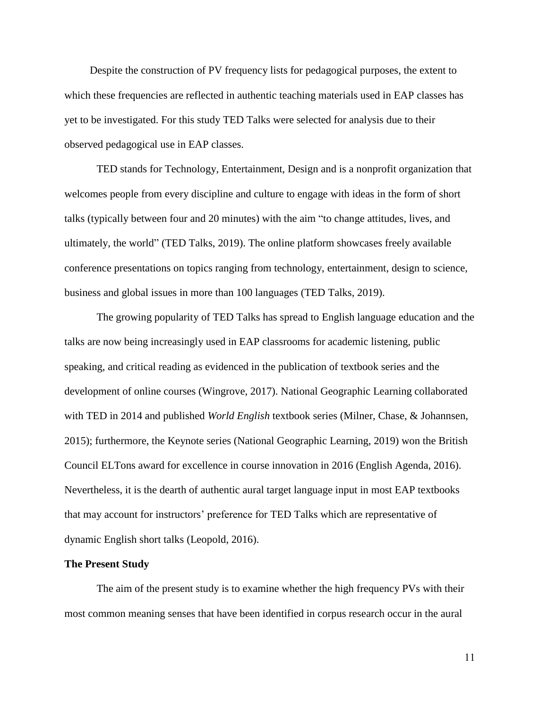Despite the construction of PV frequency lists for pedagogical purposes, the extent to which these frequencies are reflected in authentic teaching materials used in EAP classes has yet to be investigated. For this study TED Talks were selected for analysis due to their observed pedagogical use in EAP classes.

TED stands for Technology, Entertainment, Design and is a nonprofit organization that welcomes people from every discipline and culture to engage with ideas in the form of short talks (typically between four and 20 minutes) with the aim "to change attitudes, lives, and ultimately, the world" (TED Talks, 2019). The online platform showcases freely available conference presentations on topics ranging from technology, entertainment, design to science, business and global issues in more than 100 languages (TED Talks, 2019).

The growing popularity of TED Talks has spread to English language education and the talks are now being increasingly used in EAP classrooms for academic listening, public speaking, and critical reading as evidenced in the publication of textbook series and the development of online courses (Wingrove, 2017). National Geographic Learning collaborated with TED in 2014 and published *World English* textbook series (Milner, Chase, & Johannsen, 2015); furthermore, the Keynote series (National Geographic Learning, 2019) won the British Council ELTons award for excellence in course innovation in 2016 (English Agenda, 2016). Nevertheless, it is the dearth of authentic aural target language input in most EAP textbooks that may account for instructors" preference for TED Talks which are representative of dynamic English short talks (Leopold, 2016).

#### **The Present Study**

The aim of the present study is to examine whether the high frequency PVs with their most common meaning senses that have been identified in corpus research occur in the aural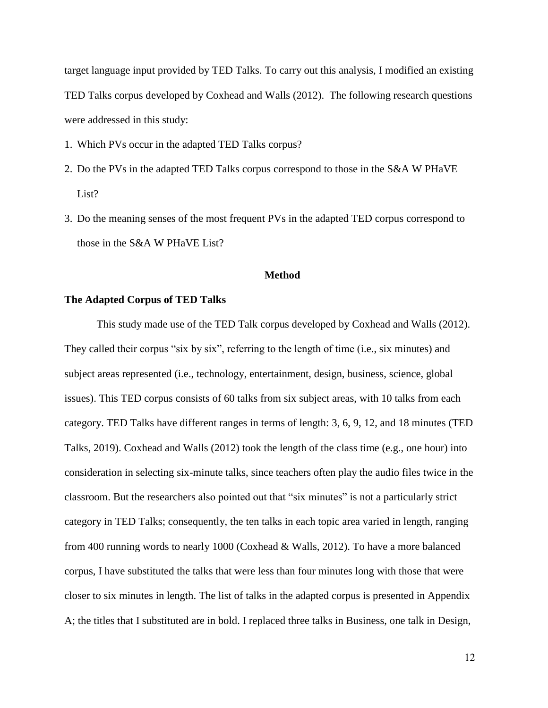target language input provided by TED Talks. To carry out this analysis, I modified an existing TED Talks corpus developed by Coxhead and Walls (2012). The following research questions were addressed in this study:

- 1. Which PVs occur in the adapted TED Talks corpus?
- 2. Do the PVs in the adapted TED Talks corpus correspond to those in the S&A W PHaVE List?
- 3. Do the meaning senses of the most frequent PVs in the adapted TED corpus correspond to those in the S&A W PHaVE List?

#### **Method**

#### **The Adapted Corpus of TED Talks**

This study made use of the TED Talk corpus developed by Coxhead and Walls (2012). They called their corpus "six by six", referring to the length of time (i.e., six minutes) and subject areas represented (i.e., technology, entertainment, design, business, science, global issues). This TED corpus consists of 60 talks from six subject areas, with 10 talks from each category. TED Talks have different ranges in terms of length: 3, 6, 9, 12, and 18 minutes (TED Talks, 2019). Coxhead and Walls (2012) took the length of the class time (e.g., one hour) into consideration in selecting six-minute talks, since teachers often play the audio files twice in the classroom. But the researchers also pointed out that "six minutes" is not a particularly strict category in TED Talks; consequently, the ten talks in each topic area varied in length, ranging from 400 running words to nearly 1000 (Coxhead & Walls, 2012). To have a more balanced corpus, I have substituted the talks that were less than four minutes long with those that were closer to six minutes in length. The list of talks in the adapted corpus is presented in Appendix A; the titles that I substituted are in bold. I replaced three talks in Business, one talk in Design,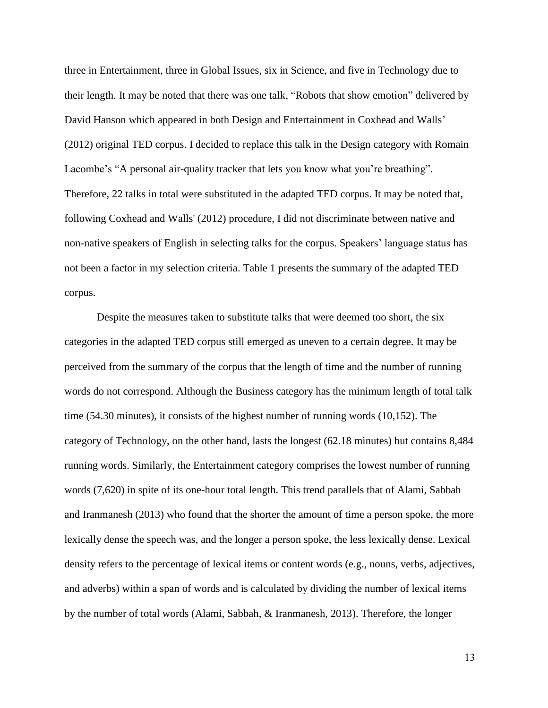three in Entertainment, three in Global Issues, six in Science, and five in Technology due to their length. It may be noted that there was one talk, "Robots that show emotion" delivered by David Hanson which appeared in both Design and Entertainment in Coxhead and Walls' (2012) original TED corpus. I decided to replace this talk in the Design category with Romain Lacombe's "A personal air-quality tracker that lets you know what you're breathing". Therefore, 22 talks in total were substituted in the adapted TED corpus. It may be noted that, following Coxhead and Walls' (2012) procedure, I did not discriminate between native and non-native speakers of English in selecting talks for the corpus. Speakers" language status has not been a factor in my selection criteria. Table 1 presents the summary of the adapted TED corpus.

Despite the measures taken to substitute talks that were deemed too short, the six categories in the adapted TED corpus still emerged as uneven to a certain degree. It may be perceived from the summary of the corpus that the length of time and the number of running words do not correspond. Although the Business category has the minimum length of total talk time (54.30 minutes), it consists of the highest number of running words (10,152). The category of Technology, on the other hand, lasts the longest (62.18 minutes) but contains 8,484 running words. Similarly, the Entertainment category comprises the lowest number of running words (7,620) in spite of its one-hour total length. This trend parallels that of Alami, Sabbah and Iranmanesh (2013) who found that the shorter the amount of time a person spoke, the more lexically dense the speech was, and the longer a person spoke, the less lexically dense. Lexical density refers to the percentage of lexical items or content words (e.g., nouns, verbs, adjectives, and adverbs) within a span of words and is calculated by dividing the number of lexical items by the number of total words (Alami, Sabbah, & Iranmanesh, 2013). Therefore, the longer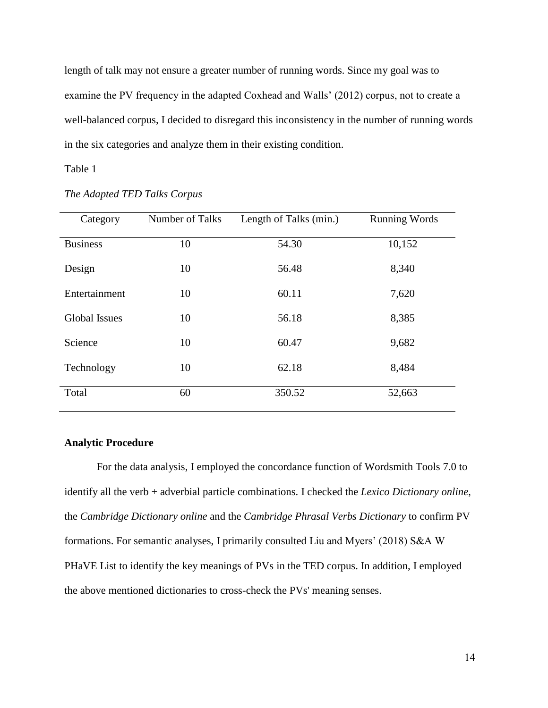length of talk may not ensure a greater number of running words. Since my goal was to examine the PV frequency in the adapted Coxhead and Walls" (2012) corpus, not to create a well-balanced corpus, I decided to disregard this inconsistency in the number of running words in the six categories and analyze them in their existing condition.

#### Table 1

| Category             | Number of Talks | Length of Talks (min.) | <b>Running Words</b> |
|----------------------|-----------------|------------------------|----------------------|
| <b>Business</b>      | 10              | 54.30                  | 10,152               |
| Design               | 10              | 56.48                  | 8,340                |
| Entertainment        | 10              | 60.11                  | 7,620                |
| <b>Global Issues</b> | 10              | 56.18                  | 8,385                |
| Science              | 10              | 60.47                  | 9,682                |
| Technology           | 10              | 62.18                  | 8,484                |
| Total                | 60              | 350.52                 | 52,663               |

*The Adapted TED Talks Corpus*

### **Analytic Procedure**

For the data analysis, I employed the concordance function of Wordsmith Tools 7.0 to identify all the verb + adverbial particle combinations. I checked the *Lexico Dictionary online*, the *Cambridge Dictionary online* and the *Cambridge Phrasal Verbs Dictionary* to confirm PV formations. For semantic analyses, I primarily consulted Liu and Myers" (2018) S&A W PHaVE List to identify the key meanings of PVs in the TED corpus. In addition, I employed the above mentioned dictionaries to cross-check the PVs' meaning senses.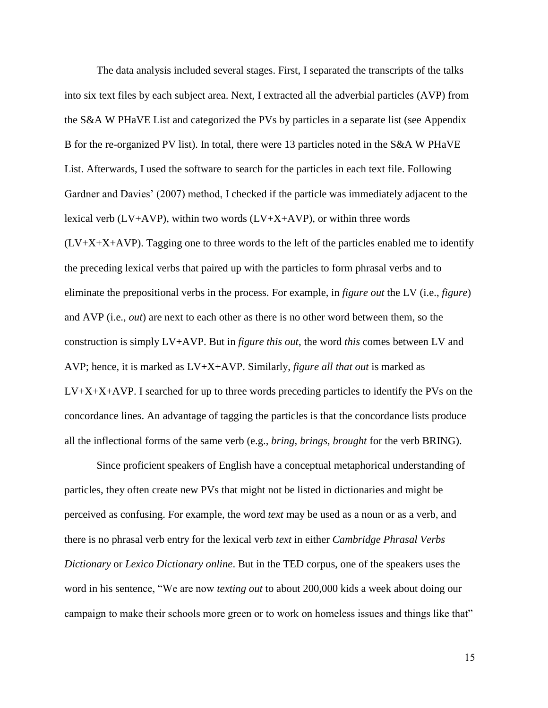The data analysis included several stages. First, I separated the transcripts of the talks into six text files by each subject area. Next, I extracted all the adverbial particles (AVP) from the S&A W PHaVE List and categorized the PVs by particles in a separate list (see Appendix B for the re-organized PV list). In total, there were 13 particles noted in the S&A W PHaVE List. Afterwards, I used the software to search for the particles in each text file. Following Gardner and Davies' (2007) method, I checked if the particle was immediately adjacent to the lexical verb ( $LV+AVP$ ), within two words ( $LV+X+AVP$ ), or within three words  $(LV+X+X+AVP)$ . Tagging one to three words to the left of the particles enabled me to identify the preceding lexical verbs that paired up with the particles to form phrasal verbs and to eliminate the prepositional verbs in the process. For example, in *figure out* the LV (i.e., *figure*) and AVP (i.e., *out*) are next to each other as there is no other word between them, so the construction is simply LV+AVP. But in *figure this out*, the word *this* comes between LV and AVP; hence, it is marked as LV+X+AVP. Similarly, *figure all that out* is marked as  $LV+X+X+AVP$ . I searched for up to three words preceding particles to identify the PVs on the concordance lines. An advantage of tagging the particles is that the concordance lists produce all the inflectional forms of the same verb (e.g., *bring, brings, brought* for the verb BRING).

Since proficient speakers of English have a conceptual metaphorical understanding of particles, they often create new PVs that might not be listed in dictionaries and might be perceived as confusing. For example, the word *text* may be used as a noun or as a verb, and there is no phrasal verb entry for the lexical verb *text* in either *Cambridge Phrasal Verbs Dictionary* or *Lexico Dictionary online*. But in the TED corpus, one of the speakers uses the word in his sentence, "We are now *texting out* to about 200,000 kids a week about doing our campaign to make their schools more green or to work on homeless issues and things like that"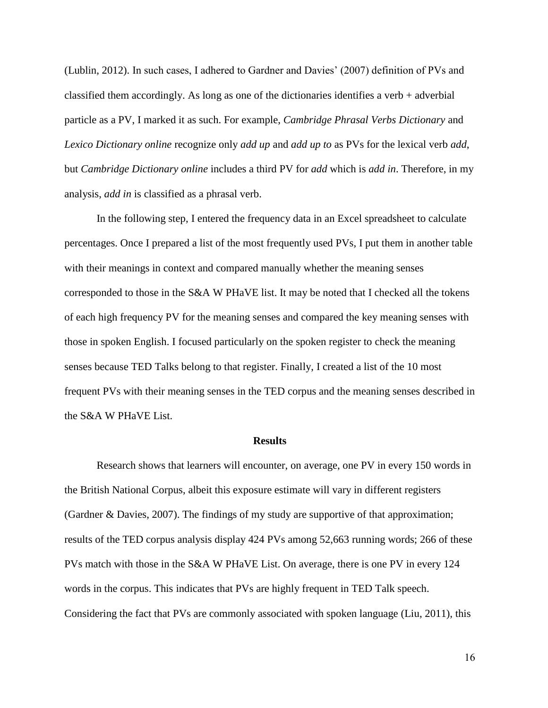(Lublin, 2012). In such cases, I adhered to Gardner and Davies" (2007) definition of PVs and classified them accordingly. As long as one of the dictionaries identifies a verb  $+$  adverbial particle as a PV, I marked it as such. For example, *Cambridge Phrasal Verbs Dictionary* and *Lexico Dictionary online* recognize only *add up* and *add up to* as PVs for the lexical verb *add*, but *Cambridge Dictionary online* includes a third PV for *add* which is *add in*. Therefore, in my analysis, *add in* is classified as a phrasal verb.

In the following step, I entered the frequency data in an Excel spreadsheet to calculate percentages. Once I prepared a list of the most frequently used PVs, I put them in another table with their meanings in context and compared manually whether the meaning senses corresponded to those in the S&A W PHaVE list. It may be noted that I checked all the tokens of each high frequency PV for the meaning senses and compared the key meaning senses with those in spoken English. I focused particularly on the spoken register to check the meaning senses because TED Talks belong to that register. Finally, I created a list of the 10 most frequent PVs with their meaning senses in the TED corpus and the meaning senses described in the S&A W PHaVE List.

#### **Results**

Research shows that learners will encounter, on average, one PV in every 150 words in the British National Corpus, albeit this exposure estimate will vary in different registers (Gardner & Davies, 2007). The findings of my study are supportive of that approximation; results of the TED corpus analysis display 424 PVs among 52,663 running words; 266 of these PVs match with those in the S&A W PHaVE List. On average, there is one PV in every 124 words in the corpus. This indicates that PVs are highly frequent in TED Talk speech. Considering the fact that PVs are commonly associated with spoken language (Liu, 2011), this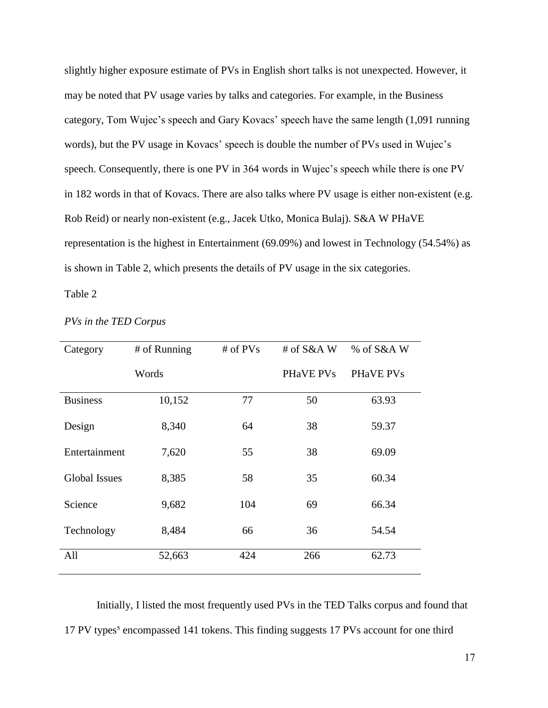slightly higher exposure estimate of PVs in English short talks is not unexpected. However, it may be noted that PV usage varies by talks and categories. For example, in the Business category, Tom Wujec's speech and Gary Kovacs' speech have the same length (1,091 running words), but the PV usage in Kovacs' speech is double the number of PVs used in Wujec's speech. Consequently, there is one PV in 364 words in Wujec's speech while there is one PV in 182 words in that of Kovacs. There are also talks where PV usage is either non-existent (e.g. Rob Reid) or nearly non-existent (e.g., Jacek Utko, Monica Bulaj). S&A W PHaVE representation is the highest in Entertainment (69.09%) and lowest in Technology (54.54%) as is shown in Table 2, which presents the details of PV usage in the six categories.

#### Table 2

| Category             | # of Running | # of $PVs$ | # of $S&A$ W | % of S&A W |
|----------------------|--------------|------------|--------------|------------|
|                      | Words        |            | PHaVE PVs    | PHaVE PVs  |
| <b>Business</b>      | 10,152       | 77         | 50           | 63.93      |
| Design               | 8,340        | 64         | 38           | 59.37      |
| Entertainment        | 7,620        | 55         | 38           | 69.09      |
| <b>Global Issues</b> | 8,385        | 58         | 35           | 60.34      |
| Science              | 9,682        | 104        | 69           | 66.34      |
| Technology           | 8,484        | 66         | 36           | 54.54      |
| All                  | 52,663       | 424        | 266          | 62.73      |

#### *PVs in the TED Corpus*

Initially, I listed the most frequently used PVs in the TED Talks corpus and found that 17 PV types<sup>5</sup> encompassed 141 tokens. This finding suggests 17 PVs account for one third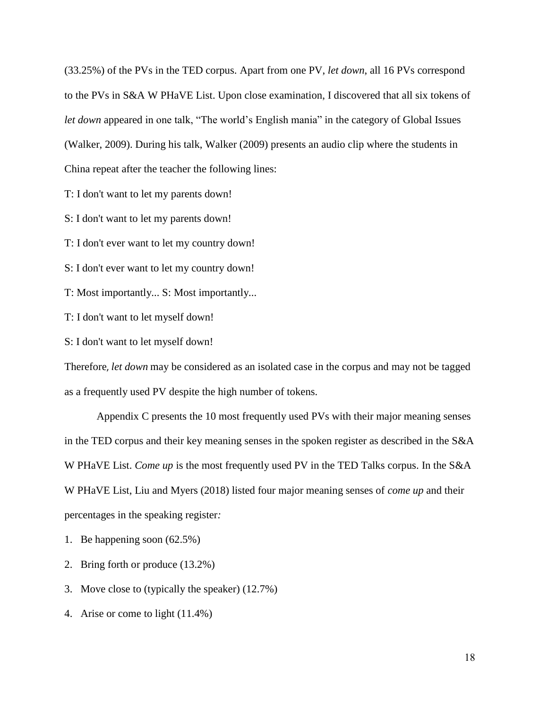(33.25%) of the PVs in the TED corpus. Apart from one PV, *let down*, all 16 PVs correspond to the PVs in S&A W PHaVE List. Upon close examination, I discovered that all six tokens of *let down* appeared in one talk, "The world"s English mania" in the category of Global Issues (Walker, 2009). During his talk, Walker (2009) presents an audio clip where the students in China repeat after the teacher the following lines:

T: I don't want to let my parents down!

S: I don't want to let my parents down!

T: I don't ever want to let my country down!

S: I don't ever want to let my country down!

T: Most importantly... S: Most importantly...

T: I don't want to let myself down!

S: I don't want to let myself down!

Therefore, *let down* may be considered as an isolated case in the corpus and may not be tagged as a frequently used PV despite the high number of tokens.

Appendix C presents the 10 most frequently used PVs with their major meaning senses in the TED corpus and their key meaning senses in the spoken register as described in the S&A W PHaVE List. *Come up* is the most frequently used PV in the TED Talks corpus. In the S&A W PHaVE List, Liu and Myers (2018) listed four major meaning senses of *come up* and their percentages in the speaking register*:*

1. Be happening soon (62.5%)

2. Bring forth or produce (13.2%)

3. Move close to (typically the speaker) (12.7%)

4. Arise or come to light (11.4%)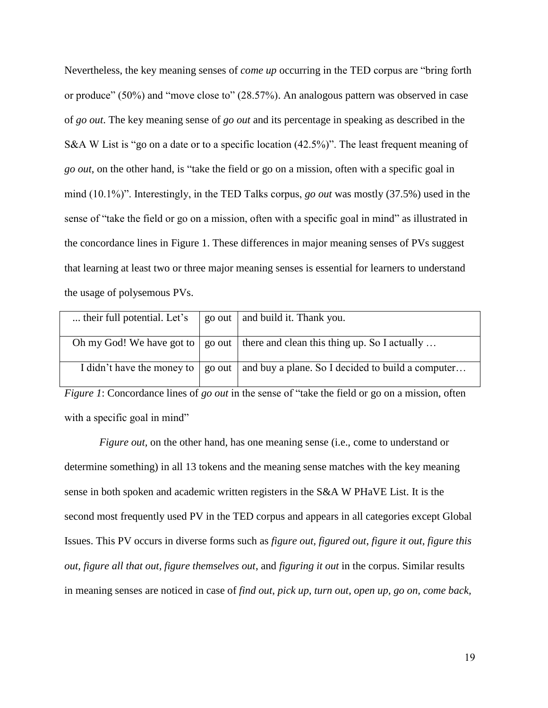Nevertheless, the key meaning senses of *come up* occurring in the TED corpus are "bring forth or produce" (50%) and "move close to" (28.57%). An analogous pattern was observed in case of *go out*. The key meaning sense of *go out* and its percentage in speaking as described in the S&A W List is "go on a date or to a specific location (42.5%)". The least frequent meaning of *go out*, on the other hand, is "take the field or go on a mission, often with a specific goal in mind (10.1%)". Interestingly, in the TED Talks corpus, *go out* was mostly (37.5%) used in the sense of "take the field or go on a mission, often with a specific goal in mind" as illustrated in the concordance lines in Figure 1. These differences in major meaning senses of PVs suggest that learning at least two or three major meaning senses is essential for learners to understand the usage of polysemous PVs.

| their full potential. Let's | go out   and build it. Thank you.                                                                 |
|-----------------------------|---------------------------------------------------------------------------------------------------|
|                             |                                                                                                   |
|                             | Oh my God! We have got to $\mid$ go out $\mid$ there and clean this thing up. So I actually       |
|                             | I didn't have the money to $\mid$ go out $\mid$ and buy a plane. So I decided to build a computer |

*Figure 1*: Concordance lines of *go out* in the sense of "take the field or go on a mission, often with a specific goal in mind"

*Figure out,* on the other hand, has one meaning sense (i.e., come to understand or determine something) in all 13 tokens and the meaning sense matches with the key meaning sense in both spoken and academic written registers in the S&A W PHaVE List. It is the second most frequently used PV in the TED corpus and appears in all categories except Global Issues. This PV occurs in diverse forms such as *figure out, figured out, figure it out, figure this out, figure all that out, figure themselves out*, and *figuring it out* in the corpus. Similar results in meaning senses are noticed in case of *find out*, *pick up*, *turn out, open up, go on, come back,*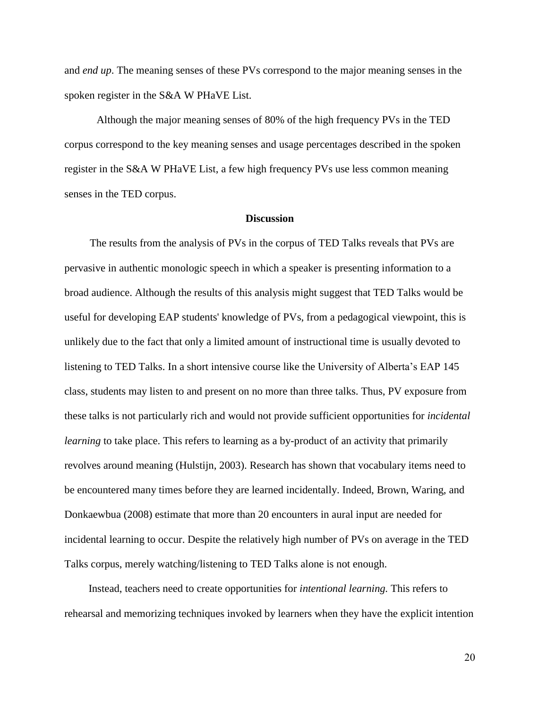and *end up*. The meaning senses of these PVs correspond to the major meaning senses in the spoken register in the S&A W PHaVE List.

Although the major meaning senses of 80% of the high frequency PVs in the TED corpus correspond to the key meaning senses and usage percentages described in the spoken register in the S&A W PHaVE List, a few high frequency PVs use less common meaning senses in the TED corpus.

#### **Discussion**

The results from the analysis of PVs in the corpus of TED Talks reveals that PVs are pervasive in authentic monologic speech in which a speaker is presenting information to a broad audience. Although the results of this analysis might suggest that TED Talks would be useful for developing EAP students' knowledge of PVs, from a pedagogical viewpoint, this is unlikely due to the fact that only a limited amount of instructional time is usually devoted to listening to TED Talks. In a short intensive course like the University of Alberta's EAP 145 class, students may listen to and present on no more than three talks. Thus, PV exposure from these talks is not particularly rich and would not provide sufficient opportunities for *incidental learning* to take place. This refers to learning as a by-product of an activity that primarily revolves around meaning (Hulstijn, 2003). Research has shown that vocabulary items need to be encountered many times before they are learned incidentally. Indeed, Brown, Waring, and Donkaewbua (2008) estimate that more than 20 encounters in aural input are needed for incidental learning to occur. Despite the relatively high number of PVs on average in the TED Talks corpus, merely watching/listening to TED Talks alone is not enough.

Instead, teachers need to create opportunities for *intentional learning.* This refers to rehearsal and memorizing techniques invoked by learners when they have the explicit intention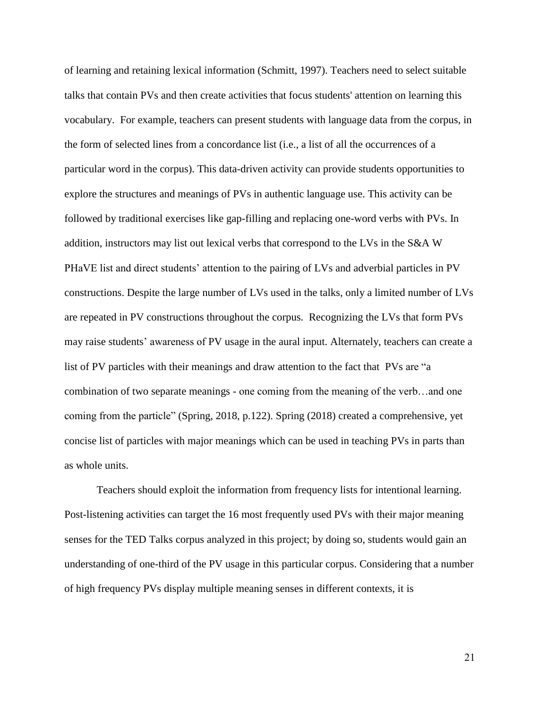of learning and retaining lexical information (Schmitt, 1997). Teachers need to select suitable talks that contain PVs and then create activities that focus students' attention on learning this vocabulary. For example, teachers can present students with language data from the corpus, in the form of selected lines from a concordance list (i.e., a list of all the occurrences of a particular word in the corpus). This data-driven activity can provide students opportunities to explore the structures and meanings of PVs in authentic language use. This activity can be followed by traditional exercises like gap-filling and replacing one-word verbs with PVs. In addition, instructors may list out lexical verbs that correspond to the LVs in the S&A W PHaVE list and direct students" attention to the pairing of LVs and adverbial particles in PV constructions. Despite the large number of LVs used in the talks, only a limited number of LVs are repeated in PV constructions throughout the corpus. Recognizing the LVs that form PVs may raise students" awareness of PV usage in the aural input. Alternately, teachers can create a list of PV particles with their meanings and draw attention to the fact that PVs are "a combination of two separate meanings - one coming from the meaning of the verb…and one coming from the particle" (Spring, 2018, p.122). Spring (2018) created a comprehensive, yet concise list of particles with major meanings which can be used in teaching PVs in parts than as whole units.

Teachers should exploit the information from frequency lists for intentional learning. Post-listening activities can target the 16 most frequently used PVs with their major meaning senses for the TED Talks corpus analyzed in this project; by doing so, students would gain an understanding of one-third of the PV usage in this particular corpus. Considering that a number of high frequency PVs display multiple meaning senses in different contexts, it is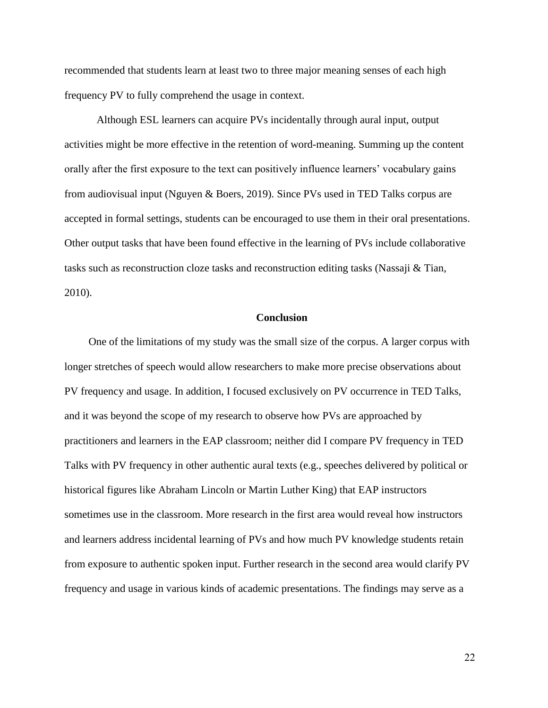recommended that students learn at least two to three major meaning senses of each high frequency PV to fully comprehend the usage in context.

Although ESL learners can acquire PVs incidentally through aural input, output activities might be more effective in the retention of word-meaning. Summing up the content orally after the first exposure to the text can positively influence learners" vocabulary gains from audiovisual input (Nguyen & Boers, 2019). Since PVs used in TED Talks corpus are accepted in formal settings, students can be encouraged to use them in their oral presentations. Other output tasks that have been found effective in the learning of PVs include collaborative tasks such as reconstruction cloze tasks and reconstruction editing tasks (Nassaji & Tian, 2010).

#### **Conclusion**

One of the limitations of my study was the small size of the corpus. A larger corpus with longer stretches of speech would allow researchers to make more precise observations about PV frequency and usage. In addition, I focused exclusively on PV occurrence in TED Talks, and it was beyond the scope of my research to observe how PVs are approached by practitioners and learners in the EAP classroom; neither did I compare PV frequency in TED Talks with PV frequency in other authentic aural texts (e.g., speeches delivered by political or historical figures like Abraham Lincoln or Martin Luther King) that EAP instructors sometimes use in the classroom. More research in the first area would reveal how instructors and learners address incidental learning of PVs and how much PV knowledge students retain from exposure to authentic spoken input. Further research in the second area would clarify PV frequency and usage in various kinds of academic presentations. The findings may serve as a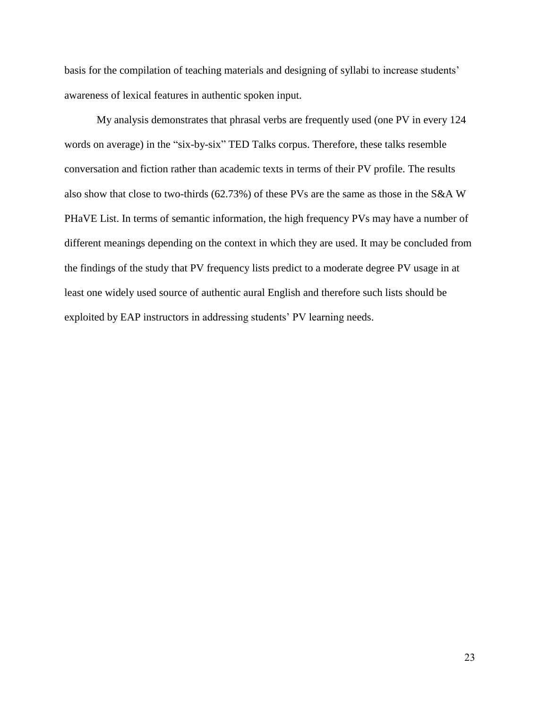basis for the compilation of teaching materials and designing of syllabi to increase students' awareness of lexical features in authentic spoken input.

My analysis demonstrates that phrasal verbs are frequently used (one PV in every 124 words on average) in the "six-by-six" TED Talks corpus. Therefore, these talks resemble conversation and fiction rather than academic texts in terms of their PV profile. The results also show that close to two-thirds (62.73%) of these PVs are the same as those in the S&A W PHaVE List. In terms of semantic information, the high frequency PVs may have a number of different meanings depending on the context in which they are used. It may be concluded from the findings of the study that PV frequency lists predict to a moderate degree PV usage in at least one widely used source of authentic aural English and therefore such lists should be exploited by EAP instructors in addressing students' PV learning needs.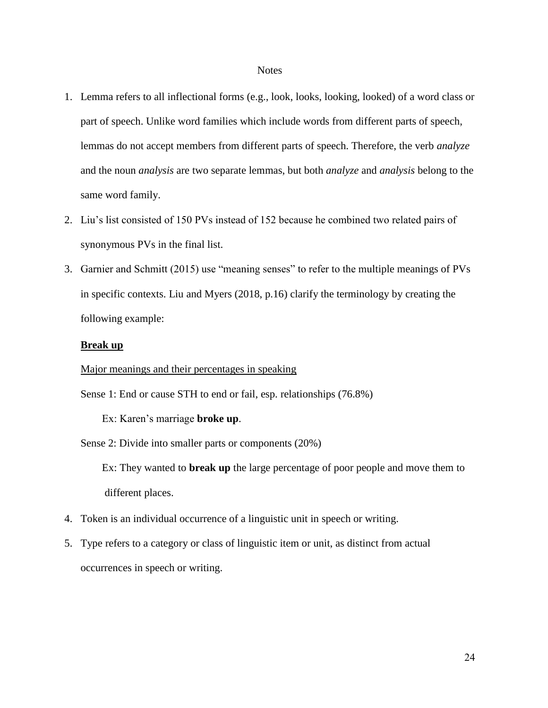#### **Notes**

- 1. Lemma refers to all inflectional forms (e.g., look, looks, looking, looked) of a word class or part of speech. Unlike word families which include words from different parts of speech, lemmas do not accept members from different parts of speech. Therefore, the verb *analyze* and the noun *analysis* are two separate lemmas, but both *analyze* and *analysis* belong to the same word family.
- 2. Liu"s list consisted of 150 PVs instead of 152 because he combined two related pairs of synonymous PVs in the final list.
- 3. Garnier and Schmitt (2015) use "meaning senses" to refer to the multiple meanings of PVs in specific contexts. Liu and Myers (2018, p.16) clarify the terminology by creating the following example:

#### **Break up**

Major meanings and their percentages in speaking

Sense 1: End or cause STH to end or fail, esp. relationships (76.8%)

Ex: Karen"s marriage **broke up**.

Sense 2: Divide into smaller parts or components (20%)

 Ex: They wanted to **break up** the large percentage of poor people and move them to different places.

- 4. Token is an individual occurrence of a linguistic unit in speech or writing.
- 5. Type refers to a category or class of linguistic item or unit, as distinct from actual occurrences in speech or writing.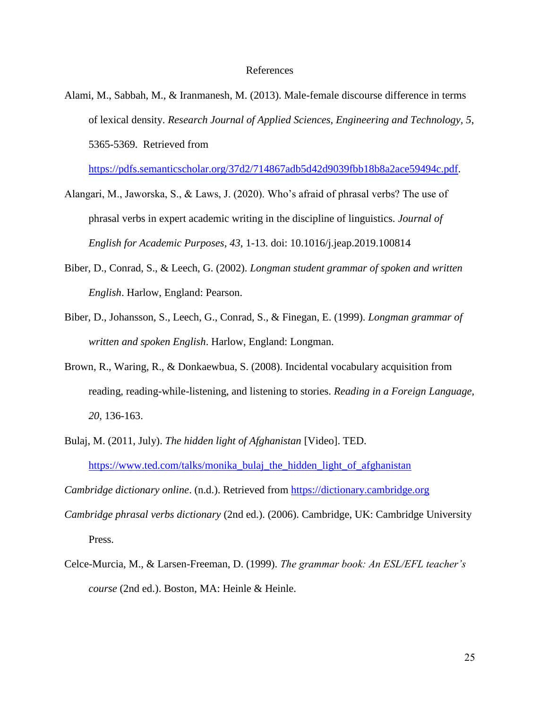#### References

Alami, M., Sabbah, M., & Iranmanesh, M. (2013). Male-female discourse difference in terms of lexical density. *Research Journal of Applied Sciences, Engineering and Technology, 5*, 5365-5369. Retrieved from

[https://pdfs.semanticscholar.org/37d2/714867adb5d42d9039fbb18b8a2ace59494c.pdf.](https://pdfs.semanticscholar.org/37d2/714867adb5d42d9039fbb18b8a2ace59494c.pdf)

- Alangari, M., Jaworska, S., & Laws, J. (2020). Who"s afraid of phrasal verbs? The use of phrasal verbs in expert academic writing in the discipline of linguistics. *Journal of English for Academic Purposes, 43*, 1-13. doi: 10.1016/j.jeap.2019.100814
- Biber, D., Conrad, S., & Leech, G. (2002). *Longman student grammar of spoken and written English*. Harlow, England: Pearson.
- Biber, D., Johansson, S., Leech, G., Conrad, S., & Finegan, E. (1999). *Longman grammar of written and spoken English*. Harlow, England: Longman.
- Brown, R., Waring, R., & Donkaewbua, S. (2008). Incidental vocabulary acquisition from reading, reading-while-listening, and listening to stories. *Reading in a Foreign Language, 20*, 136-163.
- Bulaj, M. (2011, July). *The hidden light of Afghanistan* [Video]. TED. [https://www.ted.com/talks/monika\\_bulaj\\_the\\_hidden\\_light\\_of\\_afghanistan](https://www.ted.com/talks/monika_bulaj_the_hidden_light_of_afghanistan)

*Cambridge dictionary online*. (n.d.). Retrieved from [https://dictionary.cambridge.org](https://dictionary.cambridge.org/)

- *Cambridge phrasal verbs dictionary* (2nd ed.). (2006). Cambridge, UK: Cambridge University Press.
- Celce-Murcia, M., & Larsen-Freeman, D. (1999). *The grammar book: An ESL/EFL teacher's course* (2nd ed.). Boston, MA: Heinle & Heinle.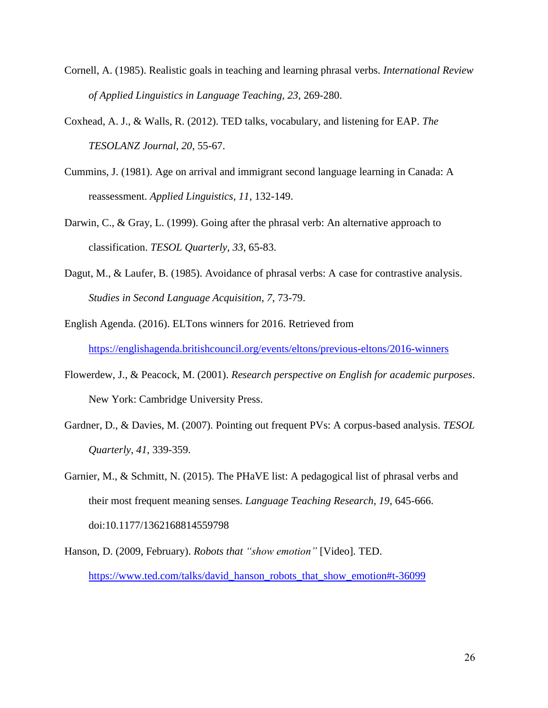- Cornell, A. (1985). Realistic goals in teaching and learning phrasal verbs. *International Review of Applied Linguistics in Language Teaching, 23*, 269-280.
- Coxhead, A. J., & Walls, R. (2012). TED talks, vocabulary, and listening for EAP. *The TESOLANZ Journal, 20*, 55-67.
- Cummins, J. (1981). Age on arrival and immigrant second language learning in Canada: A reassessment. *Applied Linguistics, 11*, 132-149.
- Darwin, C., & Gray, L. (1999). Going after the phrasal verb: An alternative approach to classification. *TESOL Quarterly, 33*, 65-83.
- Dagut, M., & Laufer, B. (1985). Avoidance of phrasal verbs: A case for contrastive analysis. *Studies in Second Language Acquisition, 7*, 73-79.
- English Agenda. (2016). ELTons winners for 2016. Retrieved from <https://englishagenda.britishcouncil.org/events/eltons/previous-eltons/2016-winners>
- Flowerdew, J., & Peacock, M. (2001). *Research perspective on English for academic purposes*. New York: Cambridge University Press.
- Gardner, D., & Davies, M. (2007). Pointing out frequent PVs: A corpus-based analysis. *TESOL Quarterly, 41*, 339-359.
- Garnier, M., & Schmitt, N. (2015). The PHaVE list: A pedagogical list of phrasal verbs and their most frequent meaning senses. *Language Teaching Research, 19*, 645-666. doi:10.1177/1362168814559798
- Hanson, D. (2009, February). *Robots that "show emotion"* [Video]*.* TED. [https://www.ted.com/talks/david\\_hanson\\_robots\\_that\\_show\\_emotion#t-36099](https://www.ted.com/talks/david_hanson_robots_that_show_emotion#t-36099)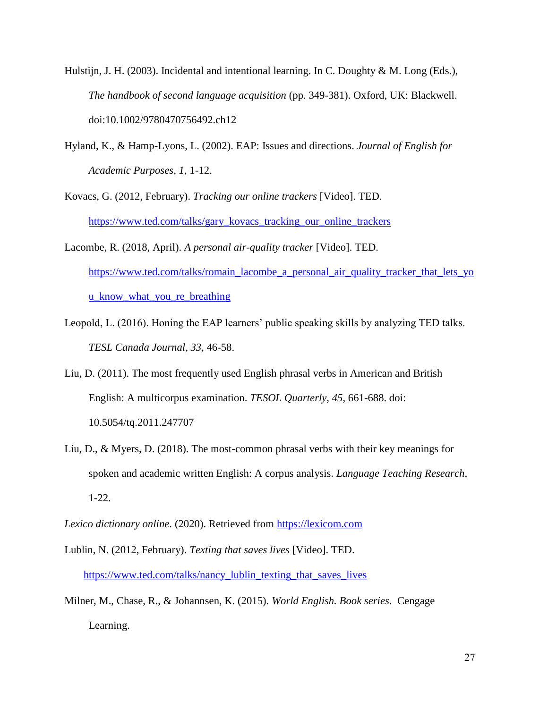- Hulstijn, J. H. (2003). Incidental and intentional learning. In C. Doughty & M. Long (Eds.), *The handbook of second language acquisition* (pp. 349-381). Oxford, UK: Blackwell. [doi:10.1002/9780470756492.ch12](https://doi.org/10.1002/9780470756492.ch12)
- Hyland, K., & Hamp-Lyons, L. (2002). EAP: Issues and directions. *Journal of English for Academic Purposes, 1*, 1-12.
- Kovacs, G. (2012, February). *Tracking our online trackers* [Video]. TED. [https://www.ted.com/talks/gary\\_kovacs\\_tracking\\_our\\_online\\_trackers](https://www.ted.com/talks/gary_kovacs_tracking_our_online_trackers)
- Lacombe, R. (2018, April). *A personal air-quality tracker* [Video]. TED. [https://www.ted.com/talks/romain\\_lacombe\\_a\\_personal\\_air\\_quality\\_tracker\\_that\\_lets\\_yo](https://www.ted.com/talks/romain_lacombe_a_personal_air_quality_tracker_that_lets_you_know_what_you_re_breathing) [u\\_know\\_what\\_you\\_re\\_breathing](https://www.ted.com/talks/romain_lacombe_a_personal_air_quality_tracker_that_lets_you_know_what_you_re_breathing)
- Leopold, L. (2016). Honing the EAP learners' public speaking skills by analyzing TED talks. *TESL Canada Journal, 33*, 46-58.
- Liu, D. (2011). The most frequently used English phrasal verbs in American and British English: A multicorpus examination. *TESOL Quarterly, 45*, 661-688. doi: 10.5054/tq.2011.247707
- Liu, D., & Myers, D. (2018). The most-common phrasal verbs with their key meanings for spoken and academic written English: A corpus analysis. *Language Teaching Research*, 1-22.

*Lexico dictionary online*. (2020). Retrieved from [https://lexicom.com](https://lexicom.com/)

- Lublin, N. (2012, February). *Texting that saves lives* [Video]. TED. [https://www.ted.com/talks/nancy\\_lublin\\_texting\\_that\\_saves\\_lives](https://www.ted.com/talks/nancy_lublin_texting_that_saves_lives)
- Milner, M., Chase, R., & Johannsen, K. (2015). *World English. Book series*. Cengage Learning.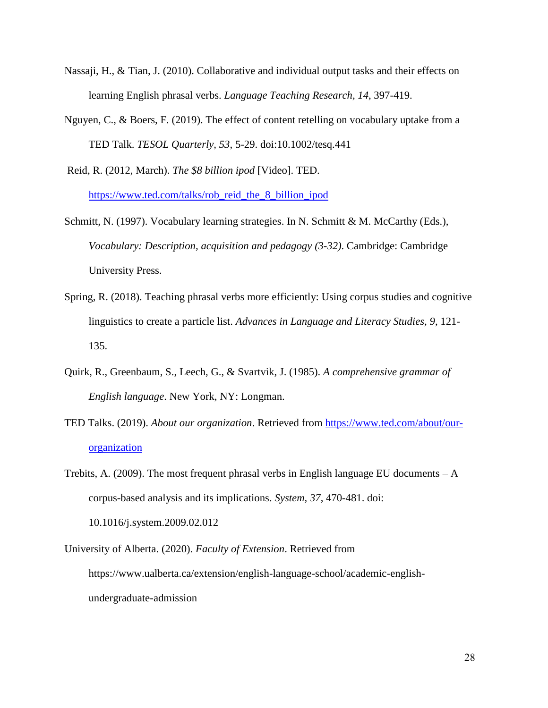- Nassaji, H., & Tian, J. (2010). Collaborative and individual output tasks and their effects on learning English phrasal verbs. *Language Teaching Research, 14*, 397-419.
- Nguyen, C., & Boers, F. (2019). The effect of content retelling on vocabulary uptake from a TED Talk. *TESOL Quarterly, 53*, 5-29. doi:10.1002/tesq.441
- Reid, R. (2012, March). *The \$8 billion ipod* [Video]. TED. [https://www.ted.com/talks/rob\\_reid\\_the\\_8\\_billion\\_ipod](https://www.ted.com/talks/rob_reid_the_8_billion_ipod)
- Schmitt, N. (1997). Vocabulary learning strategies. In N. Schmitt & M. McCarthy (Eds.), *Vocabulary: Description, acquisition and pedagogy (3-32)*. Cambridge: Cambridge University Press.
- Spring, R. (2018). Teaching phrasal verbs more efficiently: Using corpus studies and cognitive linguistics to create a particle list. *Advances in Language and Literacy Studies, 9*, 121- 135.
- Quirk, R., Greenbaum, S., Leech, G., & Svartvik, J. (1985). *A comprehensive grammar of English language*. New York, NY: Longman.
- TED Talks. (2019). *About our organization*. Retrieved from [https://www.ted.com/about/our](https://www.ted.com/about/our-organization)[organization](https://www.ted.com/about/our-organization)
- Trebits, A. (2009). The most frequent phrasal verbs in English language EU documents  $-A$ corpus-based analysis and its implications. *System, 37*, 470-481. doi: 10.1016/j.system.2009.02.012
- University of Alberta. (2020). *Faculty of Extension*. Retrieved from https://www.ualberta.ca/extension/english-language-school/academic-englishundergraduate-admission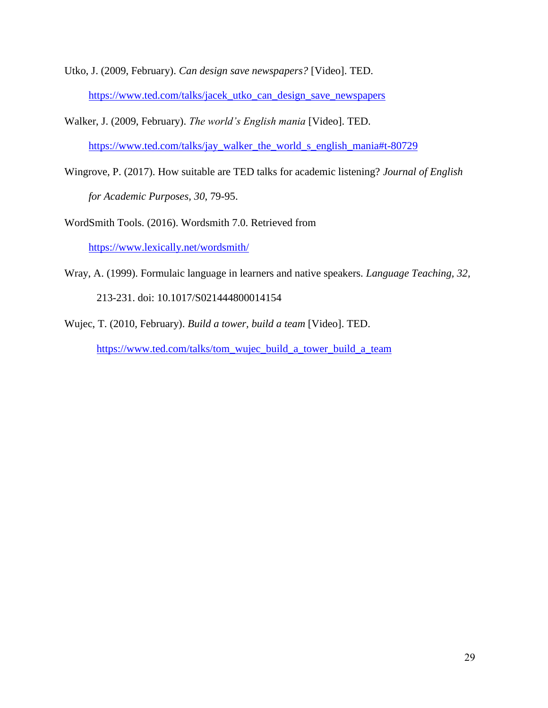- Utko, J. (2009, February). *Can design save newspapers?* [Video]. TED. [https://www.ted.com/talks/jacek\\_utko\\_can\\_design\\_save\\_newspapers](https://www.ted.com/talks/jacek_utko_can_design_save_newspapers)
- Walker, J. (2009, February). *The world's English mania* [Video]. TED. [https://www.ted.com/talks/jay\\_walker\\_the\\_world\\_s\\_english\\_mania#t-80729](https://www.ted.com/talks/jay_walker_the_world_s_english_mania#t-80729)
- Wingrove, P. (2017). How suitable are TED talks for academic listening? *Journal of English for Academic Purposes, 30*, 79-95.
- WordSmith Tools. (2016). Wordsmith 7.0. Retrieved from <https://www.lexically.net/wordsmith/>
- Wray, A. (1999). Formulaic language in learners and native speakers. *Language Teaching, 32,*  213-231. doi: 10.1017/S021444800014154
- Wujec, T. (2010, February). *Build a tower, build a team* [Video]. TED. [https://www.ted.com/talks/tom\\_wujec\\_build\\_a\\_tower\\_build\\_a\\_team](https://www.ted.com/talks/tom_wujec_build_a_tower_build_a_team)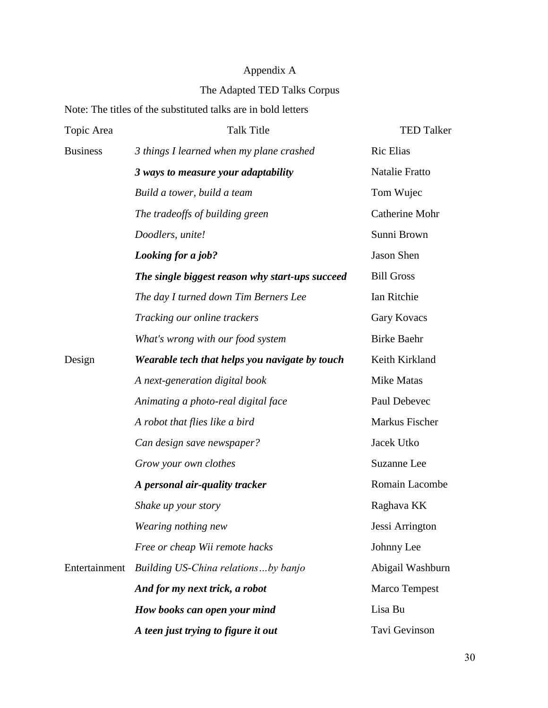## Appendix A

## The Adapted TED Talks Corpus

## Note: The titles of the substituted talks are in bold letters

| Topic Area      | <b>Talk Title</b>                               | <b>TED Talker</b>     |
|-----------------|-------------------------------------------------|-----------------------|
| <b>Business</b> | 3 things I learned when my plane crashed        | <b>Ric Elias</b>      |
|                 | 3 ways to measure your adaptability             | Natalie Fratto        |
|                 | Build a tower, build a team                     | Tom Wujec             |
|                 | The tradeoffs of building green                 | <b>Catherine Mohr</b> |
|                 | Doodlers, unite!                                | Sunni Brown           |
|                 | Looking for a job?                              | Jason Shen            |
|                 | The single biggest reason why start-ups succeed | <b>Bill Gross</b>     |
|                 | The day I turned down Tim Berners Lee           | Ian Ritchie           |
|                 | Tracking our online trackers                    | Gary Kovacs           |
|                 | What's wrong with our food system               | <b>Birke Baehr</b>    |
| Design          | Wearable tech that helps you navigate by touch  | Keith Kirkland        |
|                 | A next-generation digital book                  | Mike Matas            |
|                 | Animating a photo-real digital face             | Paul Debevec          |
|                 | A robot that flies like a bird                  | Markus Fischer        |
|                 | Can design save newspaper?                      | Jacek Utko            |
|                 | Grow your own clothes                           | Suzanne Lee           |
|                 | A personal air-quality tracker                  | Romain Lacombe        |
|                 | Shake up your story                             | Raghava KK            |
|                 | Wearing nothing new                             | Jessi Arrington       |
|                 | Free or cheap Wii remote hacks                  | Johnny Lee            |
| Entertainment   | Building US-China relationsby banjo             | Abigail Washburn      |
|                 | And for my next trick, a robot                  | Marco Tempest         |
|                 | How books can open your mind                    | Lisa Bu               |
|                 | A teen just trying to figure it out             | Tavi Gevinson         |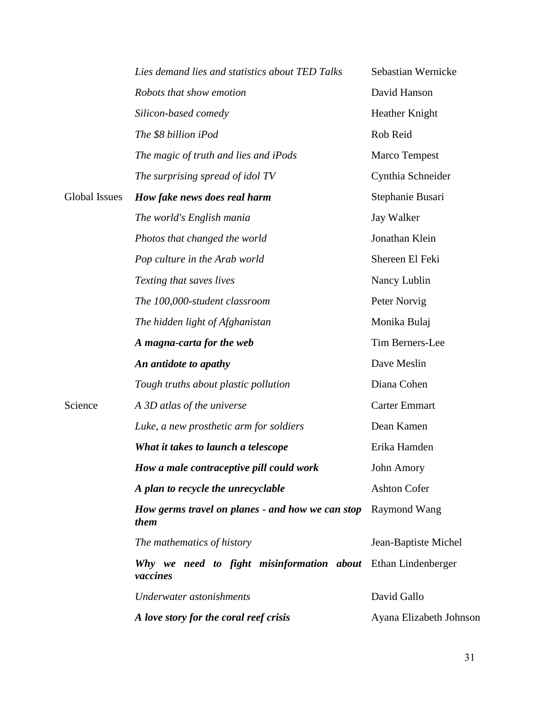|                      | Lies demand lies and statistics about TED Talks                          | Sebastian Wernicke      |
|----------------------|--------------------------------------------------------------------------|-------------------------|
|                      | Robots that show emotion                                                 | David Hanson            |
|                      | Silicon-based comedy                                                     | Heather Knight          |
|                      | The \$8 billion iPod                                                     | Rob Reid                |
|                      | The magic of truth and lies and iPods                                    | <b>Marco Tempest</b>    |
|                      | The surprising spread of idol TV                                         | Cynthia Schneider       |
| <b>Global Issues</b> | How fake news does real harm                                             | Stephanie Busari        |
|                      | The world's English mania                                                | <b>Jay Walker</b>       |
|                      | Photos that changed the world                                            | Jonathan Klein          |
|                      | Pop culture in the Arab world                                            | Shereen El Feki         |
|                      | Texting that saves lives                                                 | Nancy Lublin            |
|                      | The 100,000-student classroom                                            | Peter Norvig            |
|                      | The hidden light of Afghanistan                                          | Monika Bulaj            |
|                      | A magna-carta for the web                                                | Tim Berners-Lee         |
|                      | An antidote to apathy                                                    | Dave Meslin             |
|                      | Tough truths about plastic pollution                                     | Diana Cohen             |
| Science              | A 3D atlas of the universe                                               | <b>Carter Emmart</b>    |
|                      | Luke, a new prosthetic arm for soldiers                                  | Dean Kamen              |
|                      | What it takes to launch a telescope                                      | Erika Hamden            |
|                      | How a male contraceptive pill could work                                 | <b>John Amory</b>       |
|                      | A plan to recycle the unrecyclable                                       | <b>Ashton Cofer</b>     |
|                      | How germs travel on planes - and how we can stop<br>them                 | Raymond Wang            |
|                      | The mathematics of history                                               | Jean-Baptiste Michel    |
|                      | Why we need to fight misinformation about Ethan Lindenberger<br>vaccines |                         |
|                      | Underwater astonishments                                                 | David Gallo             |
|                      | A love story for the coral reef crisis                                   | Ayana Elizabeth Johnson |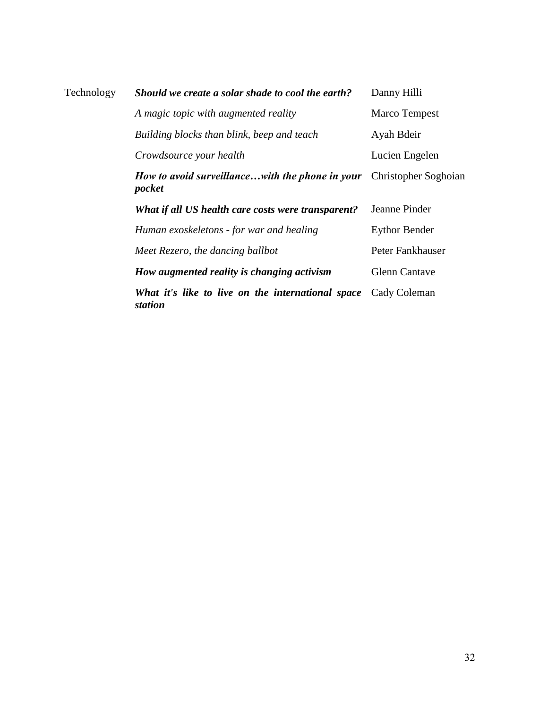| Technology | Should we create a solar shade to cool the earth?            | Danny Hilli          |
|------------|--------------------------------------------------------------|----------------------|
|            | A magic topic with augmented reality                         | Marco Tempest        |
|            | Building blocks than blink, beep and teach                   | Ayah Bdeir           |
|            | Crowdsource your health                                      | Lucien Engelen       |
|            | How to avoid surveillancewith the phone in your<br>pocket    | Christopher Soghoian |
|            | What if all US health care costs were transparent?           | Jeanne Pinder        |
|            | Human exoskeletons - for war and healing                     | <b>Eythor Bender</b> |
|            | Meet Rezero, the dancing ballbot                             | Peter Fankhauser     |
|            | How augmented reality is changing activism                   | <b>Glenn Cantave</b> |
|            | What it's like to live on the international space<br>station | Cady Coleman         |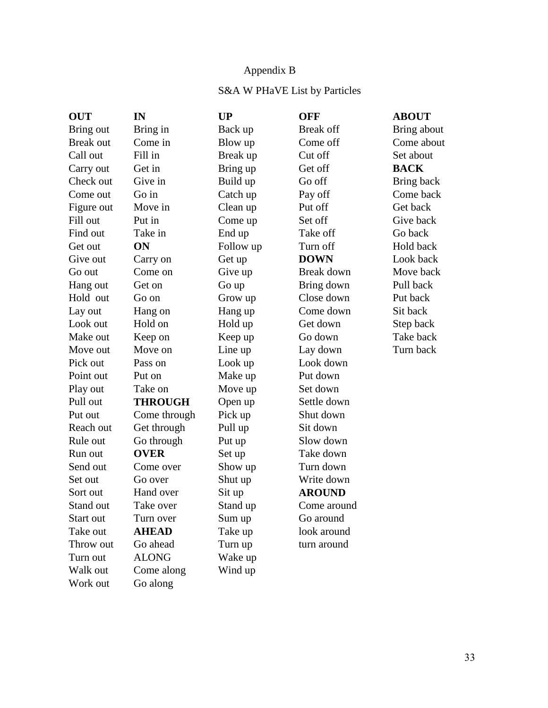## Appendix B

## S&A W PHaVE List by Particles

| <b>OUT</b>       | IN             | <b>UP</b> | <b>OFF</b>    | <b>ABOUT</b> |
|------------------|----------------|-----------|---------------|--------------|
| Bring out        | Bring in       | Back up   | Break off     | Bring about  |
| <b>Break out</b> | Come in        | Blow up   | Come off      | Come about   |
| Call out         | Fill in        | Break up  | Cut off       | Set about    |
| Carry out        | Get in         | Bring up  | Get off       | <b>BACK</b>  |
| Check out        | Give in        | Build up  | Go off        | Bring back   |
| Come out         | Go in          | Catch up  | Pay off       | Come back    |
| Figure out       | Move in        | Clean up  | Put off       | Get back     |
| Fill out         | Put in         | Come up   | Set off       | Give back    |
| Find out         | Take in        | End up    | Take off      | Go back      |
| Get out          | ON             | Follow up | Turn off      | Hold back    |
| Give out         | Carry on       | Get up    | <b>DOWN</b>   | Look back    |
| Go out           | Come on        | Give up   | Break down    | Move back    |
| Hang out         | Get on         | Go up     | Bring down    | Pull back    |
| Hold out         | Go on          | Grow up   | Close down    | Put back     |
| Lay out          | Hang on        | Hang up   | Come down     | Sit back     |
| Look out         | Hold on        | Hold up   | Get down      | Step back    |
| Make out         | Keep on        | Keep up   | Go down       | Take back    |
| Move out         | Move on        | Line up   | Lay down      | Turn back    |
| Pick out         | Pass on        | Look up   | Look down     |              |
| Point out        | Put on         | Make up   | Put down      |              |
| Play out         | Take on        | Move up   | Set down      |              |
| Pull out         | <b>THROUGH</b> | Open up   | Settle down   |              |
| Put out          | Come through   | Pick up   | Shut down     |              |
| Reach out        | Get through    | Pull up   | Sit down      |              |
| Rule out         | Go through     | Put up    | Slow down     |              |
| Run out          | <b>OVER</b>    | Set up    | Take down     |              |
| Send out         | Come over      | Show up   | Turn down     |              |
| Set out          | Go over        | Shut up   | Write down    |              |
| Sort out         | Hand over      | Sit up    | <b>AROUND</b> |              |
| Stand out        | Take over      | Stand up  | Come around   |              |
| Start out        | Turn over      | Sum up    | Go around     |              |
| Take out         | <b>AHEAD</b>   | Take up   | look around   |              |
| Throw out        | Go ahead       | Turn up   | turn around   |              |
| Turn out         | <b>ALONG</b>   | Wake up   |               |              |
| Walk out         | Come along     | Wind up   |               |              |
| Work out         | Go along       |           |               |              |